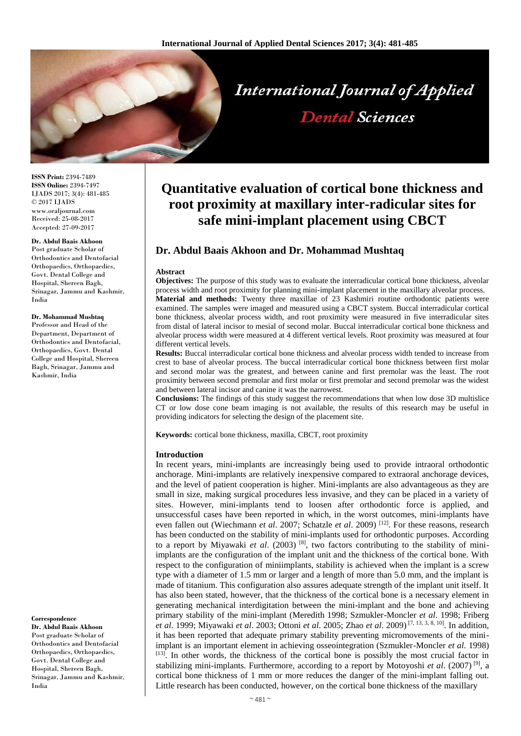

**ISSN Print:** 2394-7489 **ISSN Online:** 2394-7497 IJADS 2017; 3(4): 481-485 © 2017 IJADS www.oraljournal.com Received: 25-08-2017 Accepted: 27-09-2017

#### **Dr. Abdul Baais Akhoon**

Post graduate Scholar of Orthodontics and Dentofacial Orthopaedics, Orthopaedics, Govt. Dental College and Hospital, Shereen Bagh, Srinagar, Jammu and Kashmir, India

#### **Dr. Mohammad Mushtaq**

Professor and Head of the Department, Department of Orthodontics and Dentofacial, Orthopaedics, Govt. Dental College and Hospital, Shereen Bagh, Srinagar, Jammu and Kashmir, India

#### **Correspondence**

**Dr. Abdul Baais Akhoon** Post graduate Scholar of Orthodontics and Dentofacial Orthopaedics, Orthopaedics, Govt. Dental College and Hospital, Shereen Bagh, Srinagar, Jammu and Kashmir, India

# **Quantitative evaluation of cortical bone thickness and root proximity at maxillary inter-radicular sites for safe mini-implant placement using CBCT**

# **Dr. Abdul Baais Akhoon and Dr. Mohammad Mushtaq**

#### **Abstract**

**Objectives:** The purpose of this study was to evaluate the interradicular cortical bone thickness, alveolar process width and root proximity for planning mini-implant placement in the maxillary alveolar process. **Material and methods:** Twenty three maxillae of 23 Kashmiri routine orthodontic patients were examined. The samples were imaged and measured using a CBCT system. Buccal interradicular cortical bone thickness, alveolar process width, and root proximity were measured in five interradicular sites from distal of lateral incisor to mesial of second molar. Buccal interradicular cortical bone thickness and alveolar process width were measured at 4 different vertical levels. Root proximity was measured at four different vertical levels.

**Results:** Buccal interradicular cortical bone thickness and alveolar process width tended to increase from crest to base of alveolar process. The buccal interradicular cortical bone thickness between first molar and second molar was the greatest, and between canine and first premolar was the least. The root proximity between second premolar and first molar or first premolar and second premolar was the widest and between lateral incisor and canine it was the narrowest.

**Conclusions:** The findings of this study suggest the recommendations that when low dose 3D multislice CT or low dose cone beam imaging is not available, the results of this research may be useful in providing indicators for selecting the design of the placement site.

**Keywords:** cortical bone thickness, maxilla, CBCT, root proximity

#### **Introduction**

In recent years, mini-implants are increasingly being used to provide intraoral orthodontic anchorage. Mini-implants are relatively inexpensive compared to extraoral anchorage devices, and the level of patient cooperation is higher. Mini-implants are also advantageous as they are small in size, making surgical procedures less invasive, and they can be placed in a variety of sites. However, mini-implants tend to loosen after orthodontic force is applied, and unsuccessful cases have been reported in which, in the worst outcomes, mini-implants have even fallen out (Wiechmann *et al*. 2007; Schatzle *et al*. 2009) [12]. For these reasons, research has been conducted on the stability of mini-implants used for orthodontic purposes. According to a report by Miyawaki *et al.* (2003)<sup>[8]</sup>, two factors contributing to the stability of miniimplants are the configuration of the implant unit and the thickness of the cortical bone. With respect to the configuration of miniimplants, stability is achieved when the implant is a screw type with a diameter of 1.5 mm or larger and a length of more than 5.0 mm, and the implant is made of titanium. This configuration also assures adequate strength of the implant unit itself. It has also been stated, however, that the thickness of the cortical bone is a necessary element in generating mechanical interdigitation between the mini-implant and the bone and achieving primary stability of the mini-implant (Meredith 1998; Szmukler-Moncler *et al*. 1998; Friberg *et al*. 1999; Miyawaki *et al*. 2003; Ottoni *et al*. 2005; Zhao *et al*. 2009) [7, 13, 3, 8, 10] . In addition, it has been reported that adequate primary stability preventing micromovements of the miniimplant is an important element in achieving osseointegration (Szmukler-Moncler *et al*. 1998)  $[13]$ . In other words, the thickness of the cortical bone is possibly the most crucial factor in stabilizing mini-implants. Furthermore, according to a report by Motoyoshi *et al*. (2007) [9] , a cortical bone thickness of 1 mm or more reduces the danger of the mini-implant falling out. Little research has been conducted, however, on the cortical bone thickness of the maxillary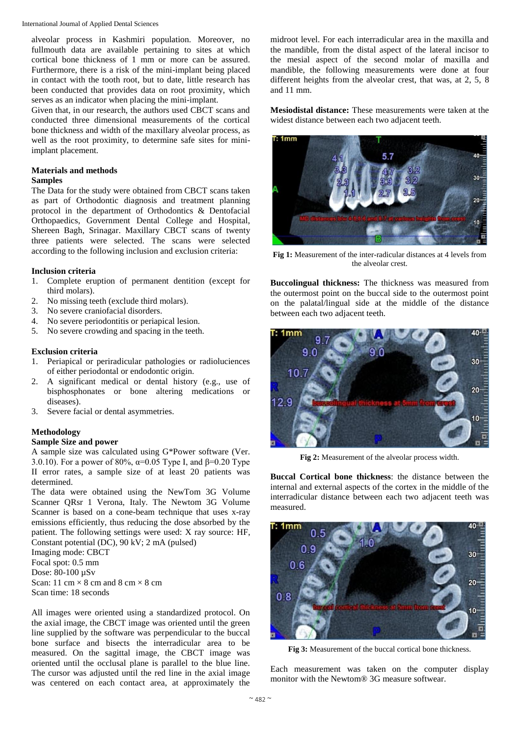International Journal of Applied Dental Sciences

alveolar process in Kashmiri population. Moreover, no fullmouth data are available pertaining to sites at which cortical bone thickness of 1 mm or more can be assured. Furthermore, there is a risk of the mini-implant being placed in contact with the tooth root, but to date, little research has been conducted that provides data on root proximity, which serves as an indicator when placing the mini-implant.

Given that, in our research, the authors used CBCT scans and conducted three dimensional measurements of the cortical bone thickness and width of the maxillary alveolar process, as well as the root proximity, to determine safe sites for miniimplant placement.

# **Materials and methods**

## **Samples**

The Data for the study were obtained from CBCT scans taken as part of Orthodontic diagnosis and treatment planning protocol in the department of Orthodontics & Dentofacial Orthopaedics, Government Dental College and Hospital, Shereen Bagh, Srinagar. Maxillary CBCT scans of twenty three patients were selected. The scans were selected according to the following inclusion and exclusion criteria:

# **Inclusion criteria**

- 1. Complete eruption of permanent dentition (except for third molars).
- 2. No missing teeth (exclude third molars).
- 3. No severe craniofacial disorders.
- 4. No severe periodontitis or periapical lesion.
- 5. No severe crowding and spacing in the teeth.

# **Exclusion criteria**

- 1. Periapical or periradicular pathologies or radioluciences of either periodontal or endodontic origin.
- 2. A significant medical or dental history (e.g., use of bisphosphonates or bone altering medications or diseases).
- 3. Severe facial or dental asymmetries.

# **Methodology**

## **Sample Size and power**

A sample size was calculated using G\*Power software (Ver. 3.0.10). For a power of 80%,  $\alpha$ =0.05 Type I, and β=0.20 Type II error rates, a sample size of at least 20 patients was determined.

The data were obtained using the NewTom 3G Volume Scanner QRsr 1 Verona, Italy. The Newtom 3G Volume Scanner is based on a cone-beam technique that uses x-ray emissions efficiently, thus reducing the dose absorbed by the patient. The following settings were used: X ray source: HF, Constant potential (DC), 90 kV; 2 mA (pulsed)

Imaging mode: CBCT Focal spot: 0.5 mm Dose: 80-100 µSv Scan: 11 cm  $\times$  8 cm and 8 cm  $\times$  8 cm Scan time: 18 seconds

All images were oriented using a standardized protocol. On the axial image, the CBCT image was oriented until the green line supplied by the software was perpendicular to the buccal bone surface and bisects the interradicular area to be measured. On the sagittal image, the CBCT image was oriented until the occlusal plane is parallel to the blue line. The cursor was adjusted until the red line in the axial image was centered on each contact area, at approximately the

midroot level. For each interradicular area in the maxilla and the mandible, from the distal aspect of the lateral incisor to the mesial aspect of the second molar of maxilla and mandible, the following measurements were done at four different heights from the alveolar crest, that was, at 2, 5, 8 and 11 mm.

**Mesiodistal distance:** These measurements were taken at the widest distance between each two adjacent teeth.



**Fig 1:** Measurement of the inter-radicular distances at 4 levels from the alveolar crest.

**Buccolingual thickness:** The thickness was measured from the outermost point on the buccal side to the outermost point on the palatal/lingual side at the middle of the distance between each two adjacent teeth.



**Fig 2:** Measurement of the alveolar process width.

**Buccal Cortical bone thickness**: the distance between the internal and external aspects of the cortex in the middle of the interradicular distance between each two adjacent teeth was measured.



**Fig 3:** Measurement of the buccal cortical bone thickness.

Each measurement was taken on the computer display monitor with the Newtom® 3G measure softwear.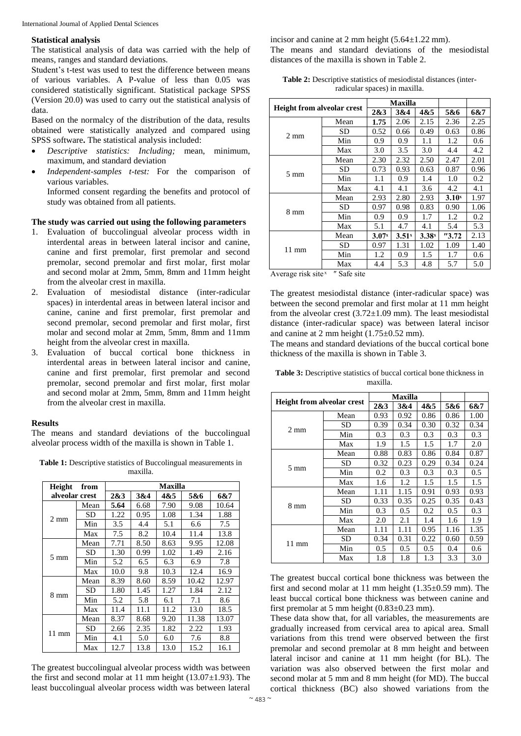### **Statistical analysis**

The statistical analysis of data was carried with the help of means, ranges and standard deviations.

Student's t-test was used to test the difference between means of various variables. A P-value of less than 0.05 was considered statistically significant. Statistical package SPSS (Version 20.0) was used to carry out the statistical analysis of data.

Based on the normalcy of the distribution of the data, results obtained were statistically analyzed and compared using SPSS software**.** The statistical analysis included:

- *Descriptive statistics: Including;* mean, minimum, maximum, and standard deviation
- *Independent-samples t-test:* For the comparison of various variables.

Informed consent regarding the benefits and protocol of study was obtained from all patients.

## **The study was carried out using the following parameters**

- 1. Evaluation of buccolingual alveolar process width in interdental areas in between lateral incisor and canine, canine and first premolar, first premolar and second premolar, second premolar and first molar, first molar and second molar at 2mm, 5mm, 8mm and 11mm height from the alveolar crest in maxilla.
- 2. Evaluation of mesiodistal distance (inter-radicular spaces) in interdental areas in between lateral incisor and canine, canine and first premolar, first premolar and second premolar, second premolar and first molar, first molar and second molar at 2mm, 5mm, 8mm and 11mm height from the alveolar crest in maxilla.
- 3. Evaluation of buccal cortical bone thickness in interdental areas in between lateral incisor and canine, canine and first premolar, first premolar and second premolar, second premolar and first molar, first molar and second molar at 2mm, 5mm, 8mm and 11mm height from the alveolar crest in maxilla.

#### **Results**

The means and standard deviations of the buccolingual alveolar process width of the maxilla is shown in Table 1.

**Table 1:** Descriptive statistics of Buccolingual measurements in maxilla.

| Height<br>from  |           | Maxilla |      |      |       |       |  |
|-----------------|-----------|---------|------|------|-------|-------|--|
| alveolar crest  |           | 2&3     | 3&4  | 4&5  | 5&6   | 6&7   |  |
| $2 \text{ mm}$  | Mean      | 5.64    | 6.68 | 7.90 | 9.08  | 10.64 |  |
|                 | SD        | 1.22    | 0.95 | 1.08 | 1.34  | 1.88  |  |
|                 | Min       | 3.5     | 4.4  | 5.1  | 6.6   | 7.5   |  |
|                 | Max       | 7.5     | 8.2  | 10.4 | 11.4  | 13.8  |  |
| 5 mm            | Mean      | 7.71    | 8.50 | 8.63 | 9.95  | 12.08 |  |
|                 | <b>SD</b> | 1.30    | 0.99 | 1.02 | 1.49  | 2.16  |  |
|                 | Min       | 5.2     | 6.5  | 6.3  | 6.9   | 7.8   |  |
|                 | Max       | 10.0    | 9.8  | 10.3 | 12.4  | 16.9  |  |
| 8 mm            | Mean      | 8.39    | 8.60 | 8.59 | 10.42 | 12.97 |  |
|                 | <b>SD</b> | 1.80    | 1.45 | 1.27 | 1.84  | 2.12  |  |
|                 | Min       | 5.2     | 5.8  | 6.1  | 7.1   | 8.6   |  |
|                 | Max       | 11.4    | 11.1 | 11.2 | 13.0  | 18.5  |  |
| $11 \text{ mm}$ | Mean      | 8.37    | 8.68 | 9.20 | 11.38 | 13.07 |  |
|                 | SD        | 2.66    | 2.35 | 1.82 | 2.22  | 1.93  |  |
|                 | Min       | 4.1     | 5.0  | 6.0  | 7.6   | 8.8   |  |
|                 | Max       | 12.7    | 13.8 | 13.0 | 15.2  | 16.1  |  |

The greatest buccolingual alveolar process width was between the first and second molar at 11 mm height  $(13.07\pm1.93)$ . The least buccolingual alveolar process width was between lateral

incisor and canine at 2 mm height  $(5.64 \pm 1.22 \text{ mm})$ . The means and standard deviations of the mesiodistal distances of the maxilla is shown in Table 2.

**Table 2:** Descriptive statistics of mesiodistal distances (interradicular spaces) in maxilla.

| <b>Height from alveolar crest</b> |      | <b>Maxilla</b> |                   |       |                   |      |
|-----------------------------------|------|----------------|-------------------|-------|-------------------|------|
|                                   |      | 2&3            | 3&4               | 4&5   | 5&6               | 6&7  |
| $2 \text{ mm}$                    | Mean | 1.75           | 2.06              | 2.15  | 2.36              | 2.25 |
|                                   | SD   | 0.52           | 0.66              | 0.49  | 0.63              | 0.86 |
|                                   | Min  | 0.9            | 0.9               | 1.1   | 1.2               | 0.6  |
|                                   | Max  | 3.0            | 3.5               | 3.0   | 4.4               | 4.2  |
|                                   | Mean | 2.30           | 2.32              | 2.50  | 2.47              | 2.01 |
| 5 mm                              | SD   | 0.73           | 0.93              | 0.63  | 0.87              | 0.96 |
|                                   | Min  | 1.1            | 0.9               | 1.4   | 1.0               | 0.2  |
|                                   | Max  | 4.1            | 4.1               | 3.6   | 4.2               | 4.1  |
|                                   | Mean | 2.93           | 2.80              | 2.93  | 3.10 <sup>x</sup> | 1.97 |
| 8 mm                              | SD   | 0.97           | 0.98              | 0.83  | 0.90              | 1.06 |
|                                   | Min  | 0.9            | 0.9               | 1.7   | 1.2               | 0.2  |
|                                   | Max  | 5.1            | 4.7               | 4.1   | 5.4               | 5.3  |
| $11 \text{ mm}$                   | Mean | 3.07x          | 3.51 <sup>x</sup> | 3.38x | "3.72"            | 2.13 |
|                                   | SD   | 0.97           | 1.31              | 1.02  | 1.09              | 1.40 |
|                                   | Min  | 1.2            | 0.9               | 1.5   | 1.7               | 0.6  |
|                                   | Max  | 4.4            | 5.3               | 4.8   | 5.7               | 5.0  |

Average risk site $x$  " Safe site

The greatest mesiodistal distance (inter-radicular space) was between the second premolar and first molar at 11 mm height from the alveolar crest  $(3.72 \pm 1.09 \text{ mm})$ . The least mesiodistal distance (inter-radicular space) was between lateral incisor and canine at 2 mm height  $(1.75\pm0.52$  mm).

The means and standard deviations of the buccal cortical bone thickness of the maxilla is shown in Table 3.

| <b>Height from alveolar crest</b> |      | Maxilla |      |      |      |      |
|-----------------------------------|------|---------|------|------|------|------|
|                                   |      | 2&3     | 3&4  | 4&5  | 5&6  | 6&7  |
| $2 \text{ mm}$                    | Mean | 0.93    | 0.92 | 0.86 | 0.86 | 1.00 |
|                                   | SD   | 0.39    | 0.34 | 0.30 | 0.32 | 0.34 |
|                                   | Min  | 0.3     | 0.3  | 0.3  | 0.3  | 0.3  |
|                                   | Max  | 1.9     | 1.5  | 1.5  | 1.7  | 2.0  |
|                                   | Mean | 0.88    | 0.83 | 0.86 | 0.84 | 0.87 |
| $5 \text{ mm}$                    | SD   | 0.32    | 0.23 | 0.29 | 0.34 | 0.24 |
|                                   | Min  | 0.2     | 0.3  | 0.3  | 0.3  | 0.5  |
|                                   | Max  | 1.6     | 1.2  | 1.5  | 1.5  | 1.5  |
|                                   | Mean | 1.11    | 1.15 | 0.91 | 0.93 | 0.93 |
|                                   | SD   | 0.33    | 0.35 | 0.25 | 0.35 | 0.43 |
| 8 mm                              | Min  | 0.3     | 0.5  | 0.2  | 0.5  | 0.3  |
|                                   | Max  | 2.0     | 2.1  | 1.4  | 1.6  | 1.9  |
| $11 \text{ mm}$                   | Mean | 1.11    | 1.11 | 0.95 | 1.16 | 1.35 |
|                                   | SD   | 0.34    | 0.31 | 0.22 | 0.60 | 0.59 |
|                                   | Min  | 0.5     | 0.5  | 0.5  | 0.4  | 0.6  |
|                                   | Max  | 1.8     | 1.8  | 1.3  | 3.3  | 3.0  |

Table 3: Descriptive statistics of buccal cortical bone thickness in maxilla.

The greatest buccal cortical bone thickness was between the first and second molar at 11 mm height  $(1.35\pm0.59$  mm). The least buccal cortical bone thickness was between canine and first premolar at 5 mm height  $(0.83\pm0.23$  mm).

These data show that, for all variables, the measurements are gradually increased from cervical area to apical area. Small variations from this trend were observed between the first premolar and second premolar at 8 mm height and between lateral incisor and canine at 11 mm height (for BL). The variation was also observed between the first molar and second molar at 5 mm and 8 mm height (for MD). The buccal cortical thickness (BC) also showed variations from the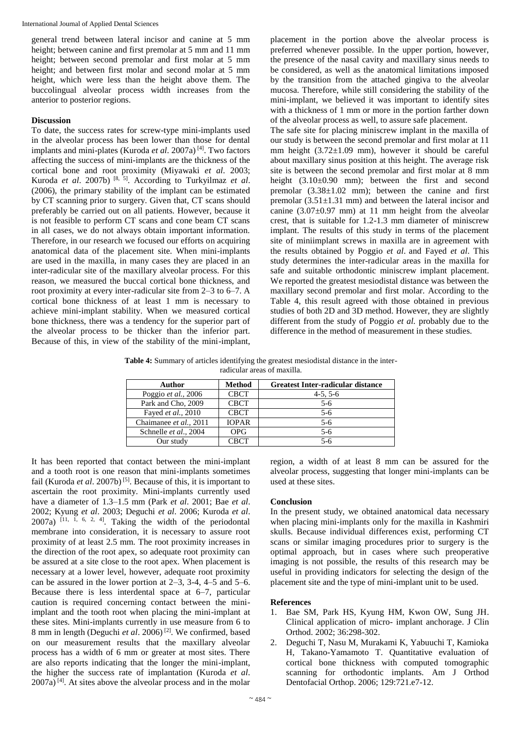International Journal of Applied Dental Sciences

general trend between lateral incisor and canine at 5 mm height; between canine and first premolar at 5 mm and 11 mm height; between second premolar and first molar at 5 mm height; and between first molar and second molar at 5 mm height, which were less than the height above them. The buccolingual alveolar process width increases from the anterior to posterior regions.

# **Discussion**

To date, the success rates for screw-type mini-implants used in the alveolar process has been lower than those for dental implants and mini-plates (Kuroda *et al*. 2007a) [4] . Two factors affecting the success of mini-implants are the thickness of the cortical bone and root proximity (Miyawaki *et al*. 2003; Kuroda *et al*. 2007b) [8, 5] . According to Turkyilmaz *et al*. (2006), the primary stability of the implant can be estimated by CT scanning prior to surgery. Given that, CT scans should preferably be carried out on all patients. However, because it is not feasible to perform CT scans and cone beam CT scans in all cases, we do not always obtain important information. Therefore, in our research we focused our efforts on acquiring anatomical data of the placement site. When mini-implants are used in the maxilla, in many cases they are placed in an inter-radicular site of the maxillary alveolar process. For this reason, we measured the buccal cortical bone thickness, and root proximity at every inter-radicular site from 2–3 to 6–7. A cortical bone thickness of at least 1 mm is necessary to achieve mini-implant stability. When we measured cortical bone thickness, there was a tendency for the superior part of the alveolar process to be thicker than the inferior part. Because of this, in view of the stability of the mini-implant,

placement in the portion above the alveolar process is preferred whenever possible. In the upper portion, however, the presence of the nasal cavity and maxillary sinus needs to be considered, as well as the anatomical limitations imposed by the transition from the attached gingiva to the alveolar mucosa. Therefore, while still considering the stability of the mini-implant, we believed it was important to identify sites with a thickness of 1 mm or more in the portion farther down of the alveolar process as well, to assure safe placement.

The safe site for placing miniscrew implant in the maxilla of our study is between the second premolar and first molar at 11 mm height  $(3.72 \pm 1.09 \text{ mm})$ , however it should be careful about maxillary sinus position at this height. The average risk site is between the second premolar and first molar at 8 mm height (3.10±0.90 mm); between the first and second premolar  $(3.38 \pm 1.02 \text{ mm})$ ; between the canine and first premolar  $(3.51\pm1.31 \text{ mm})$  and between the lateral incisor and canine  $(3.07\pm0.97 \text{ mm})$  at 11 mm height from the alveolar crest, that is suitable for 1.2-1.3 mm diameter of miniscrew implant. The results of this study in terms of the placement site of miniimplant screws in maxilla are in agreement with the results obtained by Poggio *et al*. and Fayed *et al*. This study determines the inter-radicular areas in the maxilla for safe and suitable orthodontic miniscrew implant placement. We reported the greatest mesiodistal distance was between the maxillary second premolar and first molar. According to the Table 4, this result agreed with those obtained in previous studies of both 2D and 3D method. However, they are slightly different from the study of Poggio *et al.* probably due to the difference in the method of measurement in these studies.

**Table 4:** Summary of articles identifying the greatest mesiodistal distance in the interradicular areas of maxilla.

| Author                 | <b>Method</b> | <b>Greatest Inter-radicular distance</b> |
|------------------------|---------------|------------------------------------------|
| Poggio et al., 2006    | <b>CBCT</b>   | $4-5, 5-6$                               |
| Park and Cho, 2009     | <b>CBCT</b>   | $5-6$                                    |
| Fayed et al., 2010     | <b>CBCT</b>   | $5-6$                                    |
| Chaimanee et al., 2011 | <b>IOPAR</b>  | $5-6$                                    |
| Schnelle et al., 2004  | <b>OPG</b>    | $5-6$                                    |
| Our study              | <b>CBCT</b>   | 5-6                                      |

It has been reported that contact between the mini-implant and a tooth root is one reason that mini-implants sometimes fail (Kuroda *et al.* 2007b)<sup>[5]</sup>. Because of this, it is important to ascertain the root proximity. Mini-implants currently used have a diameter of 1.3–1.5 mm (Park *et al*. 2001; Bae *et al*. 2002; Kyung *et al*. 2003; Deguchi *et al*. 2006; Kuroda *et al*.  $2007a$ )  $[11, 1, 6, 2, 4]$ . Taking the width of the periodontal membrane into consideration, it is necessary to assure root proximity of at least 2.5 mm. The root proximity increases in the direction of the root apex, so adequate root proximity can be assured at a site close to the root apex. When placement is necessary at a lower level, however, adequate root proximity can be assured in the lower portion at 2–3, 3-4, 4–5 and 5–6. Because there is less interdental space at 6–7, particular caution is required concerning contact between the miniimplant and the tooth root when placing the mini-implant at these sites. Mini-implants currently in use measure from 6 to 8 mm in length (Deguchi *et al*. 2006) [2]. We confirmed, based on our measurement results that the maxillary alveolar process has a width of 6 mm or greater at most sites. There are also reports indicating that the longer the mini-implant, the higher the success rate of implantation (Kuroda *et al*.  $2007a$ <sup>[4]</sup>. At sites above the alveolar process and in the molar region, a width of at least 8 mm can be assured for the alveolar process, suggesting that longer mini-implants can be used at these sites.

## **Conclusion**

In the present study, we obtained anatomical data necessary when placing mini-implants only for the maxilla in Kashmiri skulls. Because individual differences exist, performing CT scans or similar imaging procedures prior to surgery is the optimal approach, but in cases where such preoperative imaging is not possible, the results of this research may be useful in providing indicators for selecting the design of the placement site and the type of mini-implant unit to be used.

### **References**

- 1. Bae SM, Park HS, Kyung HM, Kwon OW, Sung JH. Clinical application of micro- implant anchorage. J Clin Orthod. 2002; 36:298-302.
- 2. Deguchi T, Nasu M, Murakami K, Yabuuchi T, Kamioka H, Takano-Yamamoto T. Quantitative evaluation of cortical bone thickness with computed tomographic scanning for orthodontic implants. Am J Orthod Dentofacial Orthop. 2006; 129:721.e7-12.